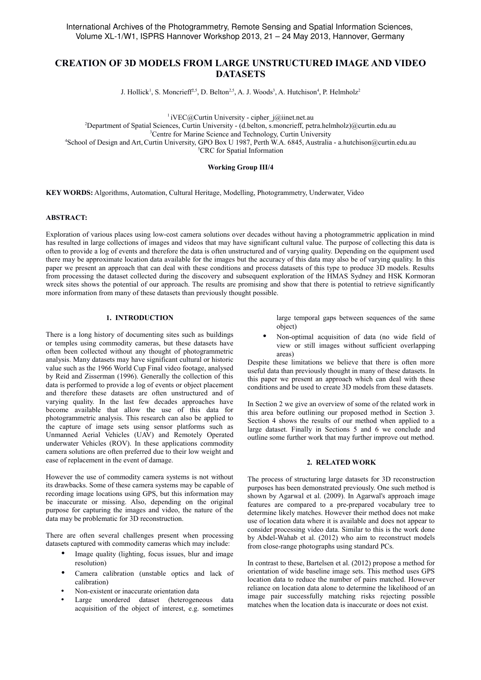# **CREATION OF 3D MODELS FROM LARGE UNSTRUCTURED IMAGE AND VIDEO DATASETS**

J. Hollick<sup>1</sup>, S. Moncrieff<sup>2,5</sup>, D. Belton<sup>2,5</sup>, A. J. Woods<sup>3</sup>, A. Hutchison<sup>4</sup>, P. Helmholz<sup>2</sup>

 $1$ iVEC@Curtin University - cipher  $j$ @iinet.net.au

<sup>2</sup>Department of Spatial Sciences, Curtin University - (d.belton, s.moncrieff, petra.helmholz)@curtin.edu.au

<sup>3</sup>Centre for Marine Science and Technology, Curtin University

<sup>4</sup>School of Design and Art,Curtin University, GPO Box U 1987, Perth W.A. 6845, Australia - a.hutchison@curtin.edu.au <sup>5</sup>CRC for Spatial Information

#### **Working Group III/4**

**KEY WORDS:** Algorithms, Automation, Cultural Heritage, Modelling, Photogrammetry, Underwater, Video

#### **ABSTRACT:**

Exploration of various places using low-cost camera solutions over decades without having a photogrammetric application in mind has resulted in large collections of images and videos that may have significant cultural value. The purpose of collecting this data is often to provide a log of events and therefore the data is often unstructured and of varying quality. Depending on the equipment used there may be approximate location data available for the images but the accuracy of this data may also be of varying quality. In this paper we present an approach that can deal with these conditions and process datasets of this type to produce 3D models. Results from processing the dataset collected during the discovery and subsequent exploration of the HMAS Sydney and HSK Kormoran wreck sites shows the potential of our approach. The results are promising and show that there is potential to retrieve significantly more information from many of these datasets than previously thought possible.

## **1. INTRODUCTION**

There is a long history of documenting sites such as buildings or temples using commodity cameras, but these datasets have often been collected without any thought of photogrammetric analysis. Many datasets may have significant cultural or historic value such as the 1966 World Cup Final video footage, analysed by Reid and Zisserman (1996). Generally the collection of this data is performed to provide a log of events or object placement and therefore these datasets are often unstructured and of varying quality. In the last few decades approaches have become available that allow the use of this data for photogrammetric analysis. This research can also be applied to the capture of image sets using sensor platforms such as Unmanned Aerial Vehicles (UAV) and Remotely Operated underwater Vehicles (ROV). In these applications commodity camera solutions are often preferred due to their low weight and ease of replacement in the event of damage.

However the use of commodity camera systems is not without its drawbacks. Some of these camera systems may be capable of recording image locations using GPS, but this information may be inaccurate or missing. Also, depending on the original purpose for capturing the images and video, the nature of the data may be problematic for 3D reconstruction.

There are often several challenges present when processing datasets captured with commodity cameras which may include:

- Image quality (lighting, focus issues, blur and image resolution)
- Camera calibration (unstable optics and lack of calibration)
- Non-existent or inaccurate orientation data
- Large unordered dataset (heterogeneous data acquisition of the object of interest, e.g. sometimes

large temporal gaps between sequences of the same object)

• Non-optimal acquisition of data (no wide field of view or still images without sufficient overlapping areas)

Despite these limitations we believe that there is often more useful data than previously thought in many of these datasets. In this paper we present an approach which can deal with these conditions and be used to create 3D models from these datasets.

In Section 2 we give an overview of some of the related work in this area before outlining our proposed method in Section 3. Section 4 shows the results of our method when applied to a large dataset. Finally in Sections 5 and 6 we conclude and outline some further work that may further improve out method.

#### **2. RELATED WORK**

The process of structuring large datasets for 3D reconstruction purposes has been demonstrated previously. One such method is shown by Agarwal et al. (2009). In Agarwal's approach image features are compared to a pre-prepared vocabulary tree to determine likely matches. However their method does not make use of location data where it is available and does not appear to consider processing video data. Similar to this is the work done by Abdel-Wahab et al. (2012) who aim to reconstruct models from close-range photographs using standard PCs.

In contrast to these, Bartelsen et al. (2012) propose a method for orientation of wide baseline image sets. This method uses GPS location data to reduce the number of pairs matched. However reliance on location data alone to determine the likelihood of an image pair successfully matching risks rejecting possible matches when the location data is inaccurate or does not exist.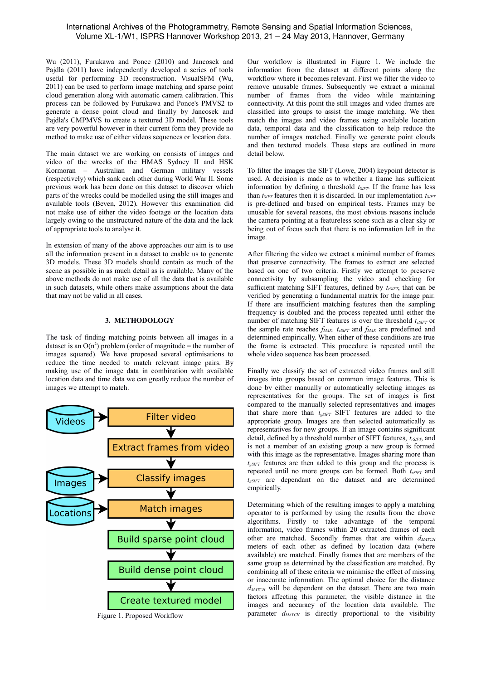## International Archives of the Photogrammetry, Remote Sensing and Spatial Information Sciences, Volume XL-1/W1, ISPRS Hannover Workshop 2013, 21 – 24 May 2013, Hannover, Germany

Wu (2011), Furukawa and Ponce (2010) and Jancosek and Pajdla (2011) have independently developed a series of tools useful for performing 3D reconstruction. VisualSFM (Wu, 2011) can be used to perform image matching and sparse point cloud generation along with automatic camera calibration. This process can be followed by Furukawa and Ponce's PMVS2 to generate a dense point cloud and finally by Jancosek and Pajdla's CMPMVS to create a textured 3D model. These tools are very powerful however in their current form they provide no method to make use of either videos sequences or location data.

The main dataset we are working on consists of images and video of the wrecks of the HMAS Sydney II and HSK Kormoran – Australian and German military vessels (respectively) which sank each other during World War II. Some previous work has been done on this dataset to discover which parts of the wrecks could be modelled using the still images and available tools (Beven, 2012). However this examination did not make use of either the video footage or the location data largely owing to the unstructured nature of the data and the lack of appropriate tools to analyse it.

In extension of many of the above approaches our aim is to use all the information present in a dataset to enable us to generate 3D models. These 3D models should contain as much of the scene as possible in as much detail as is available. Many of the above methods do not make use of all the data that is available in such datasets, while others make assumptions about the data that may not be valid in all cases.

#### **3. METHODOLOGY**

The task of finding matching points between all images in a dataset is an  $O(n^2)$  problem (order of magnitude = the number of images squared). We have proposed several optimisations to reduce the time needed to match relevant image pairs. By making use of the image data in combination with available location data and time data we can greatly reduce the number of images we attempt to match.



Our workflow is illustrated in Figure 1. We include the information from the dataset at different points along the workflow where it becomes relevant. First we filter the video to remove unusable frames. Subsequently we extract a minimal number of frames from the video while maintaining connectivity. At this point the still images and video frames are classified into groups to assist the image matching. We then match the images and video frames using available location data, temporal data and the classification to help reduce the number of images matched. Finally we generate point clouds and then textured models. These steps are outlined in more detail below.

To filter the images the SIFT (Lowe, 2004) keypoint detector is used. A decision is made as to whether a frame has sufficient information by defining a threshold *tSIFT*. If the frame has less than *tSIFT* features then it is discarded. In our implementation *tSIFT* is pre-defined and based on empirical tests. Frames may be unusable for several reasons, the most obvious reasons include the camera pointing at a featureless scene such as a clear sky or being out of focus such that there is no information left in the image.

After filtering the video we extract a minimal number of frames that preserve connectivity. The frames to extract are selected based on one of two criteria. Firstly we attempt to preserve connectivity by subsampling the video and checking for sufficient matching SIFT features, defined by *tcSIFT*, that can be verified by generating a fundamental matrix for the image pair. If there are insufficient matching features then the sampling frequency is doubled and the process repeated until either the number of matching SIFT features is over the threshold *tcSIFT* or the sample rate reaches *fMAX*. *tcSIFT* and *fMAX* are predefined and determined empirically. When either of these conditions are true the frame is extracted. This procedure is repeated until the whole video sequence has been processed.

Finally we classify the set of extracted video frames and still images into groups based on common image features. This is done by either manually or automatically selecting images as representatives for the groups. The set of images is first compared to the manually selected representatives and images that share more than *tgSIFT* SIFT features are added to the appropriate group. Images are then selected automatically as representatives for new groups. If an image contains significant detail, defined by a threshold number of SIFT features, *trSIFT*, and is not a member of an existing group a new group is formed with this image as the representative. Images sharing more than *t*<sub>*gSIFT*</sub> features are then added to this group and the process is repeated until no more groups can be formed. Both *trSIFT* and *tgSIFT* are dependant on the dataset and are determined empirically.

Determining which of the resulting images to apply a matching operator to is performed by using the results from the above algorithms. Firstly to take advantage of the temporal information, video frames within 20 extracted frames of each other are matched. Secondly frames that are within *dMATCH* meters of each other as defined by location data (where available) are matched. Finally frames that are members of the same group as determined by the classification are matched. By combining all of these criteria we minimise the effect of missing or inaccurate information. The optimal choice for the distance *dMATCH* will be dependent on the dataset. There are two main factors affecting this parameter, the visible distance in the images and accuracy of the location data available. The Figure 1. Proposed Workflow parameter  $d_{MATCH}$  is directly proportional to the visibility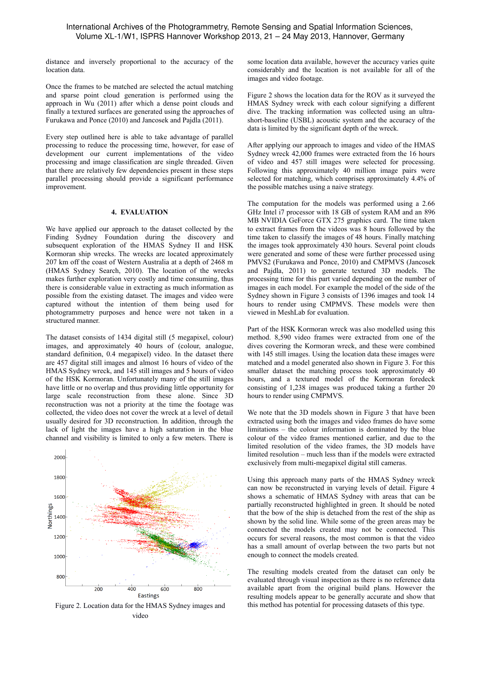distance and inversely proportional to the accuracy of the location data.

Once the frames to be matched are selected the actual matching and sparse point cloud generation is performed using the approach in Wu (2011) after which a dense point clouds and finally a textured surfaces are generated using the approaches of Furukawa and Ponce (2010) and Jancosek and Pajdla (2011).

Every step outlined here is able to take advantage of parallel processing to reduce the processing time, however, for ease of development our current implementations of the video processing and image classification are single threaded. Given that there are relatively few dependencies present in these steps parallel processing should provide a significant performance improvement.

#### **4. EVALUATION**

We have applied our approach to the dataset collected by the Finding Sydney Foundation during the discovery and subsequent exploration of the HMAS Sydney II and HSK Kormoran ship wrecks. The wrecks are located approximately 207 km off the coast of Western Australia at a depth of 2468 m (HMAS Sydney Search, 2010). The location of the wrecks makes further exploration very costly and time consuming, thus there is considerable value in extracting as much information as possible from the existing dataset. The images and video were captured without the intention of them being used for photogrammetry purposes and hence were not taken in a structured manner.

The dataset consists of 1434 digital still (5 megapixel, colour) images, and approximately 40 hours of (colour, analogue, standard definition, 0.4 megapixel) video. In the dataset there are 457 digital still images and almost 16 hours of video of the HMAS Sydney wreck, and 145 still images and 5 hours of video of the HSK Kormoran. Unfortunately many of the still images have little or no overlap and thus providing little opportunity for large scale reconstruction from these alone. Since 3D reconstruction was not a priority at the time the footage was collected, the video does not cover the wreck at a level of detail usually desired for 3D reconstruction. In addition, through the lack of light the images have a high saturation in the blue channel and visibility is limited to only a few meters. There is



video

some location data available, however the accuracy varies quite considerably and the location is not available for all of the images and video footage.

Figure 2 shows the location data for the ROV as it surveyed the HMAS Sydney wreck with each colour signifying a different dive. The tracking information was collected using an ultrashort-baseline (USBL) acoustic system and the accuracy of the data is limited by the significant depth of the wreck.

After applying our approach to images and video of the HMAS Sydney wreck 42,000 frames were extracted from the 16 hours of video and 457 still images were selected for processing. Following this approximately 40 million image pairs were selected for matching, which comprises approximately 4.4% of the possible matches using a naive strategy.

The computation for the models was performed using a 2.66 GHz Intel i7 processor with 18 GB of system RAM and an 896 MB NVIDIA GeForce GTX 275 graphics card. The time taken to extract frames from the videos was 8 hours followed by the time taken to classify the images of 48 hours. Finally matching the images took approximately 430 hours. Several point clouds were generated and some of these were further processed using PMVS2 (Furukawa and Ponce, 2010) and CMPMVS (Jancosek and Pajdla, 2011) to generate textured 3D models. The processing time for this part varied depending on the number of images in each model. For example the model of the side of the Sydney shown in Figure 3 consists of 1396 images and took 14 hours to render using CMPMVS. These models were then viewed in MeshLab for evaluation.

Part of the HSK Kormoran wreck was also modelled using this method. 8,590 video frames were extracted from one of the dives covering the Kormoran wreck, and these were combined with 145 still images. Using the location data these images were matched and a model generated also shown in Figure 3. For this smaller dataset the matching process took approximately 40 hours, and a textured model of the Kormoran foredeck consisting of 1,238 images was produced taking a further 20 hours to render using CMPMVS.

We note that the 3D models shown in Figure 3 that have been extracted using both the images and video frames do have some limitations – the colour information is dominated by the blue colour of the video frames mentioned earlier, and due to the limited resolution of the video frames, the 3D models have limited resolution – much less than if the models were extracted exclusively from multi-megapixel digital still cameras.

Using this approach many parts of the HMAS Sydney wreck can now be reconstructed in varying levels of detail. Figure 4 shows a schematic of HMAS Sydney with areas that can be partially reconstructed highlighted in green. It should be noted that the bow of the ship is detached from the rest of the ship as shown by the solid line. While some of the green areas may be connected the models created may not be connected. This occurs for several reasons, the most common is that the video has a small amount of overlap between the two parts but not enough to connect the models created.

The resulting models created from the dataset can only be evaluated through visual inspection as there is no reference data available apart from the original build plans. However the resulting models appear to be generally accurate and show that Figure 2. Location data for the HMAS Sydney images and this method has potential for processing datasets of this type.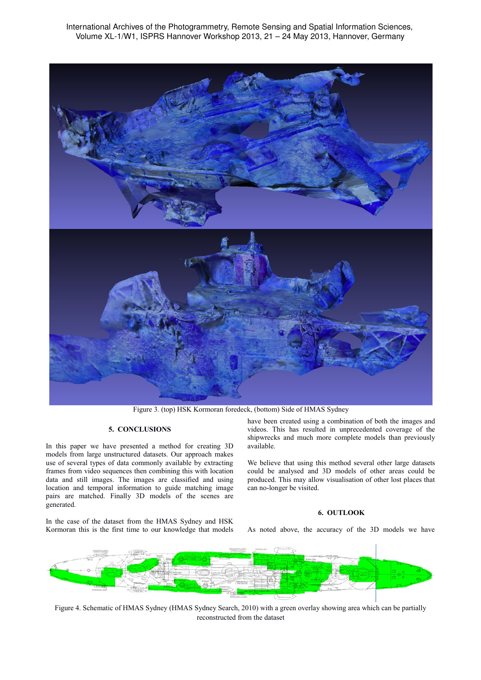International Archives of the Photogrammetry, Remote Sensing and Spatial Information Sciences, Volume XL-1/W1, ISPRS Hannover Workshop 2013, 21 – 24 May 2013, Hannover, Germany



Figure 3. (top) HSK Kormoran foredeck, (bottom) Side of HMAS Sydney

### **5. CONCLUSIONS**

In this paper we have presented a method for creating 3D models from large unstructured datasets. Our approach makes use of several types of data commonly available by extracting frames from video sequences then combining this with location data and still images. The images are classified and using location and temporal information to guide matching image pairs are matched. Finally 3D models of the scenes are generated.

In the case of the dataset from the HMAS Sydney and HSK Kormoran this is the first time to our knowledge that models have been created using a combination of both the images and videos. This has resulted in unprecedented coverage of the shipwrecks and much more complete models than previously available.

We believe that using this method several other large datasets could be analysed and 3D models of other areas could be produced. This may allow visualisation of other lost places that can no-longer be visited.

## **6. OUTLOOK**

As noted above, the accuracy of the 3D models we have



Figure 4. Schematic of HMAS Sydney (HMAS Sydney Search, 2010) with a green overlay showing area which can be partially reconstructed from the dataset